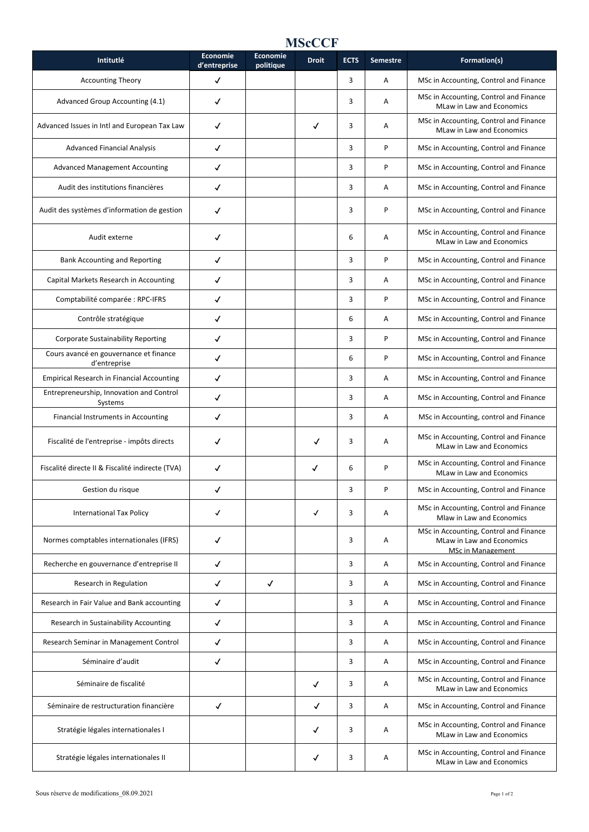## **MScCCF**

| Intitutlé                                              | <b>Economie</b><br>d'entreprise | Economie<br>politique | <b>Droit</b> | <b>ECTS</b> | <b>Semestre</b> | Formation(s)                                                                                    |
|--------------------------------------------------------|---------------------------------|-----------------------|--------------|-------------|-----------------|-------------------------------------------------------------------------------------------------|
| <b>Accounting Theory</b>                               | ✓                               |                       |              | 3           | Α               | MSc in Accounting, Control and Finance                                                          |
| Advanced Group Accounting (4.1)                        | ✓                               |                       |              | 3           | A               | MSc in Accounting, Control and Finance<br><b>MLaw in Law and Economics</b>                      |
| Advanced Issues in Intl and European Tax Law           | √                               |                       | √            | 3           | Α               | MSc in Accounting, Control and Finance<br>MLaw in Law and Economics                             |
| <b>Advanced Financial Analysis</b>                     | ✓                               |                       |              | 3           | P               | MSc in Accounting, Control and Finance                                                          |
| <b>Advanced Management Accounting</b>                  | √                               |                       |              | 3           | P               | MSc in Accounting, Control and Finance                                                          |
| Audit des institutions financières                     | ✓                               |                       |              | 3           | Α               | MSc in Accounting, Control and Finance                                                          |
| Audit des systèmes d'information de gestion            | ✓                               |                       |              | 3           | P               | MSc in Accounting, Control and Finance                                                          |
| Audit externe                                          | ✓                               |                       |              | 6           | Α               | MSc in Accounting, Control and Finance<br>MLaw in Law and Economics                             |
| <b>Bank Accounting and Reporting</b>                   | ✓                               |                       |              | 3           | P               | MSc in Accounting, Control and Finance                                                          |
| Capital Markets Research in Accounting                 | ✓                               |                       |              | 3           | Α               | MSc in Accounting, Control and Finance                                                          |
| Comptabilité comparée : RPC-IFRS                       | ✓                               |                       |              | 3           | P               | MSc in Accounting, Control and Finance                                                          |
| Contrôle stratégique                                   | ✓                               |                       |              | 6           | Α               | MSc in Accounting, Control and Finance                                                          |
| <b>Corporate Sustainability Reporting</b>              | ✓                               |                       |              | 3           | P               | MSc in Accounting, Control and Finance                                                          |
| Cours avancé en gouvernance et finance<br>d'entreprise | ✓                               |                       |              | 6           | P               | MSc in Accounting, Control and Finance                                                          |
| <b>Empirical Research in Financial Accounting</b>      | ✓                               |                       |              | 3           | Α               | MSc in Accounting, Control and Finance                                                          |
| Entrepreneurship, Innovation and Control<br>Systems    | ✓                               |                       |              | 3           | Α               | MSc in Accounting, Control and Finance                                                          |
| Financial Instruments in Accounting                    | ✓                               |                       |              | 3           | Α               | MSc in Accounting, control and Finance                                                          |
| Fiscalité de l'entreprise - impôts directs             | ✓                               |                       | √            | 3           | Α               | MSc in Accounting, Control and Finance<br>MLaw in Law and Economics                             |
| Fiscalité directe II & Fiscalité indirecte (TVA)       | ✓                               |                       | ✓            | 6           | P               | MSc in Accounting, Control and Finance<br>MLaw in Law and Economics                             |
| Gestion du risque                                      | ✓                               |                       |              | 3           | P               | MSc in Accounting, Control and Finance                                                          |
| <b>International Tax Policy</b>                        | $\checkmark$                    |                       | ✓            | 3           | Α               | MSc in Accounting, Control and Finance<br>Mlaw in Law and Economics                             |
| Normes comptables internationales (IFRS)               | ✓                               |                       |              | 3           | Α               | MSc in Accounting, Control and Finance<br>MLaw in Law and Economics<br><b>MSc in Management</b> |
| Recherche en gouvernance d'entreprise II               | ✓                               |                       |              | 3           | Α               | MSc in Accounting, Control and Finance                                                          |
| Research in Regulation                                 | ✓                               | ✓                     |              | 3           | Α               | MSc in Accounting, Control and Finance                                                          |
| Research in Fair Value and Bank accounting             | ✓                               |                       |              | 3           | Α               | MSc in Accounting, Control and Finance                                                          |
| Research in Sustainability Accounting                  | ✓                               |                       |              | 3           | Α               | MSc in Accounting, Control and Finance                                                          |
| Research Seminar in Management Control                 | $\checkmark$                    |                       |              | 3           | Α               | MSc in Accounting, Control and Finance                                                          |
| Séminaire d'audit                                      | ✓                               |                       |              | 3           | Α               | MSc in Accounting, Control and Finance                                                          |
| Séminaire de fiscalité                                 |                                 |                       | ✓            | 3           | Α               | MSc in Accounting, Control and Finance<br>MLaw in Law and Economics                             |
| Séminaire de restructuration financière                | $\checkmark$                    |                       | √            | 3           | Α               | MSc in Accounting, Control and Finance                                                          |
| Stratégie légales internationales I                    |                                 |                       | ✓            | 3           | Α               | MSc in Accounting, Control and Finance<br>MLaw in Law and Economics                             |
| Stratégie légales internationales II                   |                                 |                       | ✓            | 3           | Α               | MSc in Accounting, Control and Finance<br>MLaw in Law and Economics                             |